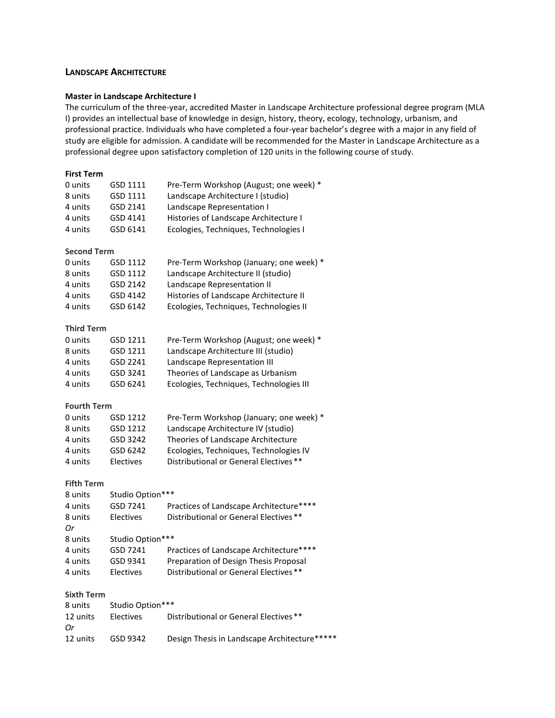# **LANDSCAPE ARCHITECTURE**

# **Master in Landscape Architecture I**

The curriculum of the three‐year, accredited Master in Landscape Architecture professional degree program (MLA I) provides an intellectual base of knowledge in design, history, theory, ecology, technology, urbanism, and professional practice. Individuals who have completed a four‐year bachelor's degree with a major in any field of study are eligible for admission. A candidate will be recommended for the Master in Landscape Architecture as a professional degree upon satisfactory completion of 120 units in the following course of study.

| <b>First Term</b>  |                  |                                         |
|--------------------|------------------|-----------------------------------------|
| 0 units            | GSD 1111         | Pre-Term Workshop (August; one week) *  |
| 8 units            | GSD 1111         | Landscape Architecture I (studio)       |
| 4 units            | GSD 2141         | Landscape Representation I              |
| 4 units            | GSD 4141         | Histories of Landscape Architecture I   |
| 4 units            | GSD 6141         | Ecologies, Techniques, Technologies I   |
| <b>Second Term</b> |                  |                                         |
| 0 units            | GSD 1112         | Pre-Term Workshop (January; one week) * |
| 8 units            | GSD 1112         | Landscape Architecture II (studio)      |
| 4 units            | GSD 2142         | Landscape Representation II             |
| 4 units            | GSD 4142         | Histories of Landscape Architecture II  |
| 4 units            | GSD 6142         | Ecologies, Techniques, Technologies II  |
| <b>Third Term</b>  |                  |                                         |
| 0 units            | GSD 1211         | Pre-Term Workshop (August; one week) *  |
| 8 units            | GSD 1211         | Landscape Architecture III (studio)     |
| 4 units            | GSD 2241         | Landscape Representation III            |
| 4 units            | GSD 3241         | Theories of Landscape as Urbanism       |
| 4 units            | GSD 6241         | Ecologies, Techniques, Technologies III |
| <b>Fourth Term</b> |                  |                                         |
| 0 units            | GSD 1212         | Pre-Term Workshop (January; one week) * |
| 8 units            | GSD 1212         | Landscape Architecture IV (studio)      |
| 4 units            | GSD 3242         | Theories of Landscape Architecture      |
| 4 units            | GSD 6242         | Ecologies, Techniques, Technologies IV  |
| 4 units            | Electives        | Distributional or General Electives **  |
| <b>Fifth Term</b>  |                  |                                         |
| 8 units            | Studio Option*** |                                         |
| 4 units            | GSD 7241         | Practices of Landscape Architecture**** |
| 8 units            | Electives        | Distributional or General Electives **  |
| 0r                 |                  |                                         |
| 8 units            | Studio Option*** |                                         |
| 4 units            | GSD 7241         | Practices of Landscape Architecture**** |
| 4 units            | GSD 9341         | Preparation of Design Thesis Proposal   |
| 4 units            | Electives        | Distributional or General Electives **  |
| <b>Sixth Term</b>  |                  |                                         |
| 8 units            | Studio Option*** |                                         |
| 12 units<br>Оr     | Electives        | Distributional or General Electives **  |

12 units GSD 9342 Design Thesis in Landscape Architecture\*\*\*\*\*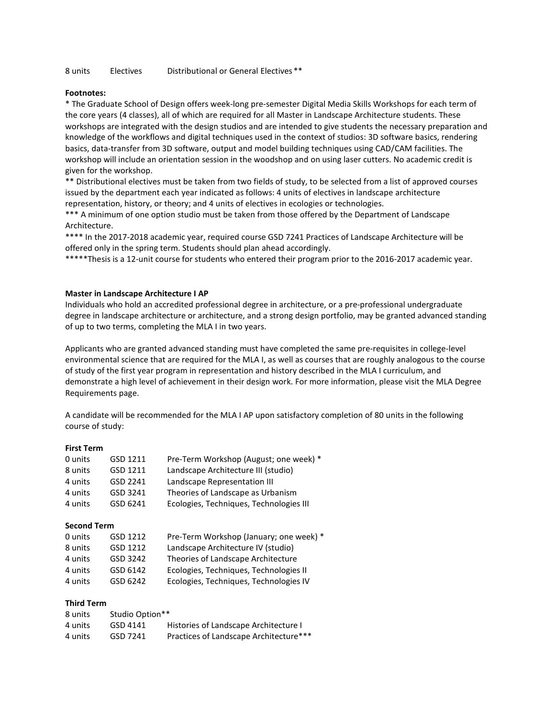8 units Electives Distributional or General Electives \*\*

### **Footnotes:**

\* The Graduate School of Design offers week-long pre-semester Digital Media Skills Workshops for each term of the core years (4 classes), all of which are required for all Master in Landscape Architecture students. These workshops are integrated with the design studios and are intended to give students the necessary preparation and knowledge of the workflows and digital techniques used in the context of studios: 3D software basics, rendering basics, data-transfer from 3D software, output and model building techniques using CAD/CAM facilities. The workshop will include an orientation session in the woodshop and on using laser cutters. No academic credit is given for the workshop.

\*\* Distributional electives must be taken from two fields of study, to be selected from a list of approved courses issued by the department each year indicated as follows: 4 units of electives in landscape architecture representation, history, or theory; and 4 units of electives in ecologies or technologies.

\*\*\* A minimum of one option studio must be taken from those offered by the Department of Landscape Architecture.

\*\*\*\* In the 2017-2018 academic year, required course GSD 7241 Practices of Landscape Architecture will be offered only in the spring term. Students should plan ahead accordingly.

\*\*\*\*\*Thesis is a 12-unit course for students who entered their program prior to the 2016-2017 academic year.

#### **Master in Landscape Architecture I AP**

Individuals who hold an accredited professional degree in architecture, or a pre-professional undergraduate degree in landscape architecture or architecture, and a strong design portfolio, may be granted advanced standing of up to two terms, completing the MLA I in two years.

Applicants who are granted advanced standing must have completed the same pre-requisites in college-level environmental science that are required for the MLA I, as well as courses that are roughly analogous to the course of study of the first year program in representation and history described in the MLA I curriculum, and demonstrate a high level of achievement in their design work. For more information, please visit the MLA Degree Requirements page.

A candidate will be recommended for the MLA I AP upon satisfactory completion of 80 units in the following course of study:

#### **First Term**

| 0 units | GSD 1211 | Pre-Term Workshop (August; one week) *  |
|---------|----------|-----------------------------------------|
| 8 units | GSD 1211 | Landscape Architecture III (studio)     |
| 4 units | GSD 2241 | Landscape Representation III            |
| 4 units | GSD 3241 | Theories of Landscape as Urbanism       |
| 4 units | GSD 6241 | Ecologies, Techniques, Technologies III |

#### **Second Term**

| 0 units | GSD 1212 | Pre-Term Workshop (January; one week) * |
|---------|----------|-----------------------------------------|
| 8 units | GSD 1212 | Landscape Architecture IV (studio)      |
| 4 units | GSD 3242 | Theories of Landscape Architecture      |
| 4 units | GSD 6142 | Ecologies, Techniques, Technologies II  |
| 4 units | GSD 6242 | Ecologies, Techniques, Technologies IV  |

### **Third Term**

| 8 units | Studio Option** |                                        |
|---------|-----------------|----------------------------------------|
| 4 units | GSD 4141        | Histories of Landscape Architecture I  |
| 4 units | GSD 7241        | Practices of Landscape Architecture*** |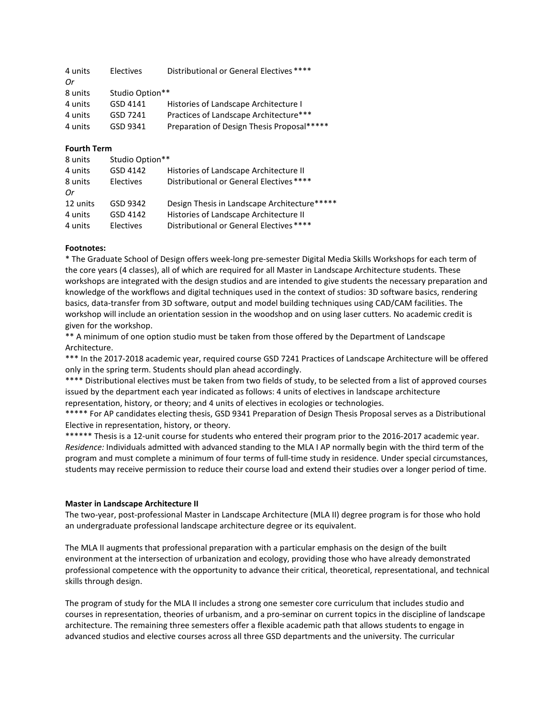| 4 units | Electives       | Distributional or General Electives ****   |
|---------|-----------------|--------------------------------------------|
| 0r      |                 |                                            |
| 8 units | Studio Option** |                                            |
| 4 units | GSD 4141        | Histories of Landscape Architecture I      |
| 4 units | GSD 7241        | Practices of Landscape Architecture***     |
| 4 units | GSD 9341        | Preparation of Design Thesis Proposal***** |
|         |                 |                                            |

# **Fourth Term**

| 8 units  | Studio Option**  |                                              |
|----------|------------------|----------------------------------------------|
| 4 units  | GSD 4142         | Histories of Landscape Architecture II       |
| 8 units  | Electives        | Distributional or General Electives ****     |
| 0r       |                  |                                              |
| 12 units | GSD 9342         | Design Thesis in Landscape Architecture***** |
| 4 units  | GSD 4142         | Histories of Landscape Architecture II       |
| 4 units  | <b>Electives</b> | Distributional or General Electives ****     |

# **Footnotes:**

\* The Graduate School of Design offers week-long pre-semester Digital Media Skills Workshops for each term of the core years (4 classes), all of which are required for all Master in Landscape Architecture students. These workshops are integrated with the design studios and are intended to give students the necessary preparation and knowledge of the workflows and digital techniques used in the context of studios: 3D software basics, rendering basics, data-transfer from 3D software, output and model building techniques using CAD/CAM facilities. The workshop will include an orientation session in the woodshop and on using laser cutters. No academic credit is given for the workshop.

\*\* A minimum of one option studio must be taken from those offered by the Department of Landscape Architecture.

\*\*\* In the 2017-2018 academic year, required course GSD 7241 Practices of Landscape Architecture will be offered only in the spring term. Students should plan ahead accordingly.

\*\*\*\* Distributional electives must be taken from two fields of study, to be selected from a list of approved courses issued by the department each year indicated as follows: 4 units of electives in landscape architecture representation, history, or theory; and 4 units of electives in ecologies or technologies.

\*\*\*\*\* For AP candidates electing thesis, GSD 9341 Preparation of Design Thesis Proposal serves as a Distributional Elective in representation, history, or theory.

\*\*\*\*\*\* Thesis is a 12-unit course for students who entered their program prior to the 2016-2017 academic year. *Residence:* Individuals admitted with advanced standing to the MLA I AP normally begin with the third term of the program and must complete a minimum of four terms of full-time study in residence. Under special circumstances, students may receive permission to reduce their course load and extend their studies over a longer period of time.

### **Master in Landscape Architecture II**

The two-year, post‐professional Master in Landscape Architecture (MLA II) degree program is for those who hold an undergraduate professional landscape architecture degree or its equivalent.

The MLA II augments that professional preparation with a particular emphasis on the design of the built environment at the intersection of urbanization and ecology, providing those who have already demonstrated professional competence with the opportunity to advance their critical, theoretical, representational, and technical skills through design.

The program of study for the MLA II includes a strong one semester core curriculum that includes studio and courses in representation, theories of urbanism, and a pro-seminar on current topics in the discipline of landscape architecture. The remaining three semesters offer a flexible academic path that allows students to engage in advanced studios and elective courses across all three GSD departments and the university. The curricular